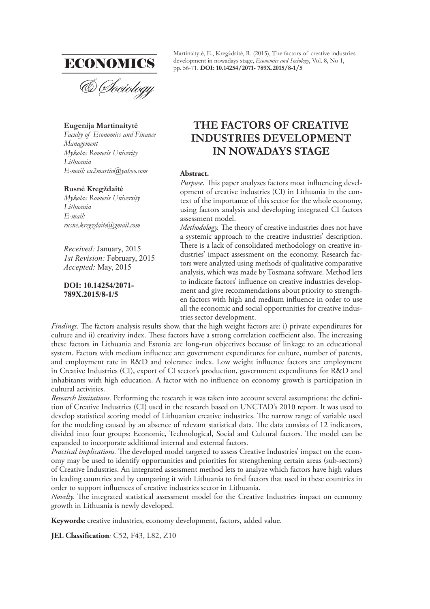

#### **Eugenija Martinaitytė**

*Faculty of Economics and Finance Management Mykolas Romeris Univerity Lithuania E-mail: eu2martin@yahoo.com*

#### **Rusnė Kregždaitė**

*Mykolas Romeris University Lithuania E-mail: rusne.kregzdaite@gmail.com*

*Received:* January, 2015 *1st Revision:* February, 2015 *Accepted:* May, 2015

#### **DOI: 10.14254/2071- 789X.2015/8-1/5**

Martinaitytė, E., Kregždaitė, R. (2015), The factors of creative industries development in nowadays stage, *Economics and Sociology*, Vol. 8, No 1, pp. 56-71. **DOI: 10.14254/2071- 789X.2015/8-1/5**

# **THE FACTORS OF CREATIVE INDUSTRIES DEVELOPMENT IN NOWADAYS STAGE**

#### **Abstract.**

*Purpose*. This paper analyzes factors most influencing development of creative industries (CI) in Lithuania in the context of the importance of this sector for the whole economy, using factors analysis and developing integrated CI factors assessment model.

*Methodology*. The theory of creative industries does not have a systemic approach to the creative industries' description. There is a lack of consolidated methodology on creative industries' impact assessment on the economy. Research factors were analyzed using methods of qualitative comparative analysis, which was made by Tosmana software. Method lets to indicate factors' influence on creative industries development and give recommendations about priority to strengthen factors with high and medium influence in order to use all the economic and social opportunities for creative industries sector development.

*Findings*. The factors analysis results show, that the high weight factors are: i) private expenditures for culture and ii) creativity index. These factors have a strong correlation coefficient also. The increasing these factors in Lithuania and Estonia are long-run objectives because of linkage to an educational system. Factors with medium influence are: government expenditures for culture, number of patents, and employment rate in R&D and tolerance index. Low weight influence factors are: employment in Creative Industries (CI), export of CI sector's production, government expenditures for R&D and inhabitants with high education. A factor with no influence on economy growth is participation in cultural activities.

*Research limitations.* Performing the research it was taken into account several assumptions: the definition of Creative Industries (CI) used in the research based on UNCTAD's 2010 report. It was used to develop statistical scoring model of Lithuanian creative industries. The narrow range of variable used for the modeling caused by an absence of relevant statistical data. The data consists of 12 indicators, divided into four groups: Economic, Technological, Social and Cultural factors. The model can be expanded to incorporate additional internal and external factors.

*Practical implications*. The developed model targeted to assess Creative Industries' impact on the economy may be used to identify opportunities and priorities for strengthening certain areas (sub-sectors) of Creative Industries. An integrated assessment method lets to analyze which factors have high values in leading countries and by comparing it with Lithuania to find factors that used in these countries in order to support influences of creative industries sector in Lithuania.

*Novelty*. The integrated statistical assessment model for the Creative Industries impact on economy growth in Lithuania is newly developed.

**Keywords:** creative industries, economy development, factors, added value.

**JEL Classification**: C52, F43, L82, Z10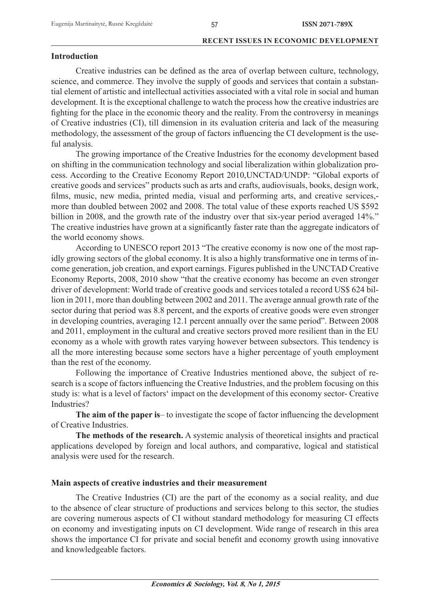# **Introduction**

Creative industries can be defined as the area of overlap between culture, technology, science, and commerce. They involve the supply of goods and services that contain a substantial element of artistic and intellectual activities associated with a vital role in social and human development. It is the exceptional challenge to watch the process how the creative industries are fighting for the place in the economic theory and the reality. From the controversy in meanings of Creative industries (CI), till dimension in its evaluation criteria and lack of the measuring methodology, the assessment of the group of factors influencing the CI development is the useful analysis.

The growing importance of the Creative Industries for the economy development based on shifting in the communication technology and social liberalization within globalization process. According to the Creative Economy Report 2010,UNCTAD/UNDP: "Global exports of creative goods and services" products such as arts and crafts, audiovisuals, books, design work, films, music, new media, printed media, visual and performing arts, and creative services,more than doubled between 2002 and 2008. The total value of these exports reached US \$592 billion in 2008, and the growth rate of the industry over that six-year period averaged 14%." The creative industries have grown at a significantly faster rate than the aggregate indicators of the world economy shows.

According to UNESCO report 2013 "The creative economy is now one of the most rapidly growing sectors of the global economy. It is also a highly transformative one in terms of income generation, job creation, and export earnings. Figures published in the UNCTAD Creative Economy Reports, 2008, 2010 show "that the creative economy has become an even stronger driver of development: World trade of creative goods and services totaled a record US\$ 624 billion in 2011, more than doubling between 2002 and 2011. The average annual growth rate of the sector during that period was 8.8 percent, and the exports of creative goods were even stronger in developing countries, averaging 12.1 percent annually over the same period". Between 2008 and 2011, employment in the cultural and creative sectors proved more resilient than in the EU economy as a whole with growth rates varying however between subsectors. This tendency is all the more interesting because some sectors have a higher percentage of youth employment than the rest of the economy.

Following the importance of Creative Industries mentioned above, the subject of research is a scope of factors influencing the Creative Industries, and the problem focusing on this study is: what is a level of factors' impact on the development of this economy sector- Creative Industries?

The aim of the paper is to investigate the scope of factor influencing the development of Creative Industries.

**The methods of the research.** A systemic analysis of theoretical insights and practical applications developed by foreign and local authors, and comparative, logical and statistical analysis were used for the research.

# **Main aspects of creative industries and their measurement**

The Creative Industries (CI) are the part of the economy as a social reality, and due to the absence of clear structure of productions and services belong to this sector, the studies are covering numerous aspects of CI without standard methodology for measuring CI effects on economy and investigating inputs on CI development. Wide range of research in this area shows the importance CI for private and social benefit and economy growth using innovative and knowledgeable factors.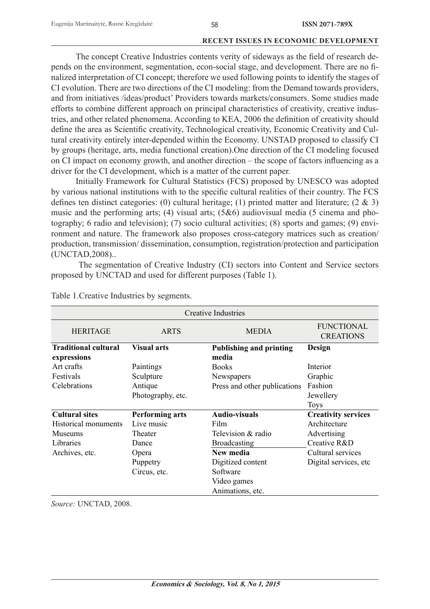The concept Creative Industries contents verity of sideways as the field of research depends on the environment, segmentation, econ-social stage, and development. There are no finalized interpretation of CI concept; therefore we used following points to identify the stages of CI evolution. There are two directions of the CI modeling: from the Demand towards providers, and from initiatives /ideas/product' Providers towards markets/consumers. Some studies made efforts to combine different approach on principal characteristics of creativity, creative industries, and other related phenomena. According to KEA, 2006 the definition of creativity should define the area as Scientific creativity, Technological creativity, Economic Creativity and Cultural creativity entirely inter-depended within the Economy. UNSTAD proposed to classify CI by groups (heritage, arts, media functional creation).One direction of the CI modeling focused on CI impact on economy growth, and another direction  $-$  the scope of factors influencing as a driver for the CI development, which is a matter of the current paper.

Initially Framework for Cultural Statistics (FCS) proposed by UNESCO was adopted by various national institutions with to the specific cultural realities of their country. The FCS defines ten distinct categories: (0) cultural heritage; (1) printed matter and literature;  $(2 \& 3)$ music and the performing arts; (4) visual arts;  $(5\&6)$  audiovisual media (5 cinema and photography; 6 radio and television); (7) socio cultural activities; (8) sports and games; (9) environment and nature. The framework also proposes cross-category matrices such as creation/ production, transmission/ dissemination, consumption, registration/protection and participation (UNCTAD,2008)..

 The segmentation of Creative Industry (CI) sectors into Content and Service sectors proposed by UNCTAD and used for different purposes (Table 1).

|                                            |                        | Creative Industries                     |                                       |
|--------------------------------------------|------------------------|-----------------------------------------|---------------------------------------|
| <b>HERITAGE</b>                            | <b>ARTS</b>            | <b>MEDIA</b>                            | <b>FUNCTIONAL</b><br><b>CREATIONS</b> |
| <b>Traditional cultural</b><br>expressions | <b>Visual arts</b>     | <b>Publishing and printing</b><br>media | Design                                |
| Art crafts                                 | Paintings              | <b>Books</b>                            | Interior                              |
| Festivals                                  | Sculpture              | Newspapers                              | Graphic                               |
| Celebrations                               | Antique                | Press and other publications            | Fashion                               |
|                                            | Photography, etc.      |                                         | Jewellery                             |
|                                            |                        |                                         | <b>Toys</b>                           |
| <b>Cultural sites</b>                      | <b>Performing arts</b> | <b>Audio-visuals</b>                    | <b>Creativity services</b>            |
| Historical monuments                       | Live music             | Film                                    | Architecture                          |
| <b>Museums</b>                             | Theater                | Television & radio                      | Advertising                           |
| Libraries                                  | Dance                  | <b>Broadcasting</b>                     | Creative R&D                          |
| Archives, etc.                             | Opera                  | New media                               | Cultural services                     |
|                                            | Puppetry               | Digitized content                       | Digital services, etc                 |
|                                            | Circus, etc.           | Software                                |                                       |
|                                            |                        | Video games                             |                                       |
|                                            |                        | Animations, etc.                        |                                       |

Table 1.Creative Industries by segments.

*Source:* UNCTAD, 2008.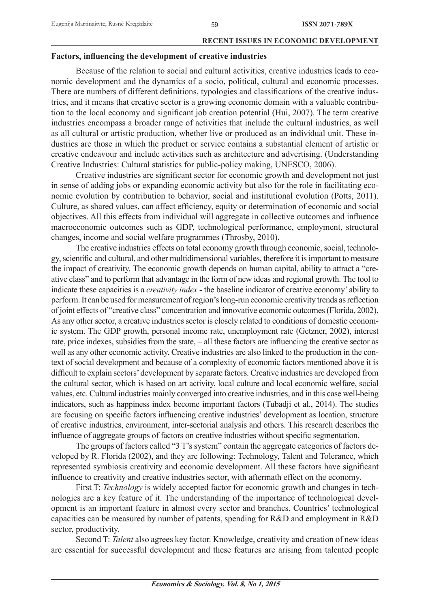# Factors, influencing the development of creative industries

Because of the relation to social and cultural activities, creative industries leads to economic development and the dynamics of a socio, political, cultural and economic processes. There are numbers of different definitions, typologies and classifications of the creative industries, and it means that creative sector is a growing economic domain with a valuable contribution to the local economy and significant job creation potential (Hui, 2007). The term creative industries encompass a broader range of activities that include the cultural industries, as well as all cultural or artistic production, whether live or produced as an individual unit. These industries are those in which the product or service contains a substantial element of artistic or creative endeavour and include activities such as architecture and advertising. (Understanding Creative Industries: Cultural statistics for public-policy making, UNESCO, 2006).

Creative industries are significant sector for economic growth and development not just in sense of adding jobs or expanding economic activity but also for the role in facilitating economic evolution by contribution to behavior, social and institutional evolution (Potts, 2011). Culture, as shared values, can affect efficiency, equity or determination of economic and social objectives. All this effects from individual will aggregate in collective outcomes and influence macroeconomic outcomes such as GDP, technological performance, employment, structural changes, income and social welfare programmes (Throsby, 2010).

The creative industries effects on total economy growth through economic, social, technology, scientific and cultural, and other multidimensional variables, therefore it is important to measure the impact of creativity. The economic growth depends on human capital, ability to attract a "creative class" and to perform that advantage in the form of new ideas and regional growth. The tool to indicate these capacities is a *creativity index* - the baseline indicator of creative economy' ability to perform. It can be used for measurement of region's long-run economic creativity trends as reflection of joint effects of "creative class" concentration and innovative economic outcomes (Florida, 2002). As any other sector, a creative industries sector is closely related to conditions of domestic economic system. The GDP growth, personal income rate, unemployment rate (Getzner, 2002), interest rate, price indexes, subsidies from the state, – all these factors are influencing the creative sector as well as any other economic activity. Creative industries are also linked to the production in the context of social development and because of a complexity of economic factors mentioned above it is difficult to explain sectors' development by separate factors. Creative industries are developed from the cultural sector, which is based on art activity, local culture and local economic welfare, social values, etc. Cultural industries mainly converged into creative industries, and in this case well-being indicators, such as happiness index become important factors (Tubadji et al., 2014). The studies are focusing on specific factors influencing creative industries' development as location, structure of creative industries, environment, inter-sectorial analysis and others. This research describes the influence of aggregate groups of factors on creative industries without specific segmentation.

The groups of factors called "3 T's system" contain the aggregate categories of factors developed by R. Florida (2002), and they are following: Technology, Talent and Tolerance, which represented symbiosis creativity and economic development. All these factors have significant influence to creativity and creative industries sector, with aftermath effect on the economy.

First T: *Technology* is widely accepted factor for economic growth and changes in technologies are a key feature of it. The understanding of the importance of technological development is an important feature in almost every sector and branches. Countries' technological capacities can be measured by number of patents, spending for R&D and employment in R&D sector, productivity.

Second T: *Talent* also agrees key factor. Knowledge, creativity and creation of new ideas are essential for successful development and these features are arising from talented people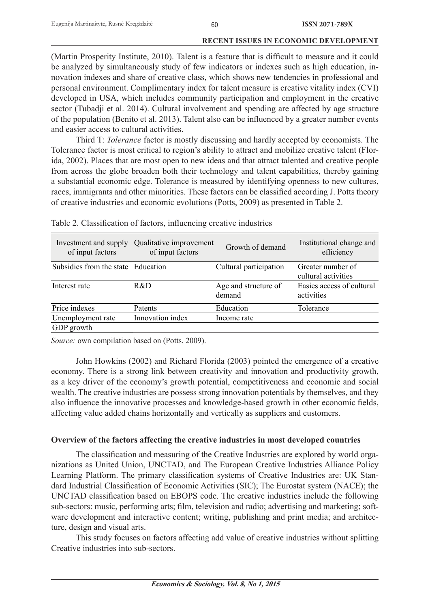(Martin Prosperity Institute, 2010). Talent is a feature that is difficult to measure and it could be analyzed by simultaneously study of few indicators or indexes such as high education, innovation indexes and share of creative class, which shows new tendencies in professional and personal environment. Complimentary index for talent measure is creative vitality index (CVI) developed in USA, which includes community participation and employment in the creative sector (Tubadji et al. 2014). Cultural involvement and spending are affected by age structure of the population (Benito et al. 2013). Talent also can be influenced by a greater number events and easier access to cultural activities.

Third T: *Tolerance* factor is mostly discussing and hardly accepted by economists. The Tolerance factor is most critical to region's ability to attract and mobilize creative talent (Florida, 2002). Places that are most open to new ideas and that attract talented and creative people from across the globe broaden both their technology and talent capabilities, thereby gaining a substantial economic edge. Tolerance is measured by identifying openness to new cultures, races, immigrants and other minorities. These factors can be classified according J. Potts theory of creative industries and economic evolutions (Potts, 2009) as presented in Table 2.

| Investment and supply<br>of input factors | Qualitative improvement<br>of input factors | Growth of demand               | Institutional change and<br>efficiency   |
|-------------------------------------------|---------------------------------------------|--------------------------------|------------------------------------------|
| Subsidies from the state Education        |                                             | Cultural participation         | Greater number of<br>cultural activities |
| Interest rate                             | R&D                                         | Age and structure of<br>demand | Easies access of cultural<br>activities  |
| Price indexes                             | Patents                                     | Education                      | Tolerance                                |
| Unemployment rate                         | Innovation index                            | Income rate                    |                                          |
| GDP growth                                |                                             |                                |                                          |

Table 2. Classification of factors, influencing creative industries

*Source:* own compilation based on (Potts, 2009).

John Howkins (2002) and Richard Florida (2003) pointed the emergence of a creative economy. There is a strong link between creativity and innovation and productivity growth, as a key driver of the economy's growth potential, competitiveness and economic and social wealth. The creative industries are possess strong innovation potentials by themselves, and they also influence the innovative processes and knowledge-based growth in other economic fields, affecting value added chains horizontally and vertically as suppliers and customers.

# **Overview of the factors affecting the creative industries in most developed countries**

The classification and measuring of the Creative Industries are explored by world organizations as United Union, UNCTAD, and The European Creative Industries Alliance Policy Learning Platform. The primary classification systems of Creative Industries are: UK Standard Industrial Classification of Economic Activities (SIC); The Eurostat system (NACE); the UNCTAD classification based on EBOPS code. The creative industries include the following sub-sectors: music, performing arts; film, television and radio; advertising and marketing; software development and interactive content; writing, publishing and print media; and architecture, design and visual arts.

This study focuses on factors affecting add value of creative industries without splitting Creative industries into sub-sectors.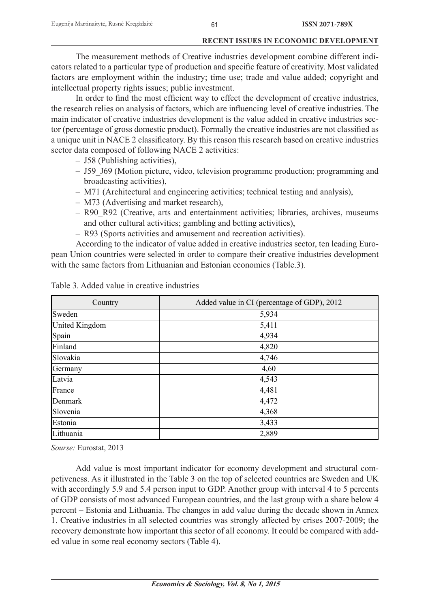The measurement methods of Creative industries development combine different indicators related to a particular type of production and specific feature of creativity. Most validated factors are employment within the industry; time use; trade and value added; copyright and intellectual property rights issues; public investment.

In order to find the most efficient way to effect the development of creative industries, the research relies on analysis of factors, which are influencing level of creative industries. The main indicator of creative industries development is the value added in creative industries sector (percentage of gross domestic product). Formally the creative industries are not classified as a unique unit in NACE 2 classificatory. By this reason this research based on creative industries sector data composed of following NACE 2 activities:

- J58 (Publishing activities),
- J59\_J69 (Motion picture, video, television programme production; programming and broadcasting activities),
- M71 (Architectural and engineering activities; technical testing and analysis),
- M73 (Advertising and market research),
- R90\_R92 (Creative, arts and entertainment activities; libraries, archives, museums and other cultural activities; gambling and betting activities),
- R93 (Sports activities and amusement and recreation activities).

According to the indicator of value added in creative industries sector, ten leading European Union countries were selected in order to compare their creative industries development with the same factors from Lithuanian and Estonian economies (Table.3).

| Country               | Added value in CI (percentage of GDP), 2012 |
|-----------------------|---------------------------------------------|
| Sweden                | 5,934                                       |
| <b>United Kingdom</b> | 5,411                                       |
| Spain                 | 4,934                                       |
| Finland               | 4,820                                       |
| Slovakia              | 4,746                                       |
| Germany               | 4,60                                        |
| Latvia                | 4,543                                       |
| France                | 4,481                                       |
| Denmark               | 4,472                                       |
| Slovenia              | 4,368                                       |
| Estonia               | 3,433                                       |
| Lithuania             | 2,889                                       |

Table 3. Added value in creative industries

*Sourse:* Eurostat, 2013

Add value is most important indicator for economy development and structural competiveness. As it illustrated in the Table 3 on the top of selected countries are Sweden and UK with accordingly 5.9 and 5.4 person input to GDP. Another group with interval 4 to 5 percents of GDP consists of most advanced European countries, and the last group with a share below 4 percent – Estonia and Lithuania. The changes in add value during the decade shown in Annex 1. Creative industries in all selected countries was strongly affected by crises 2007-2009; the recovery demonstrate how important this sector of all economy. It could be compared with added value in some real economy sectors (Table 4).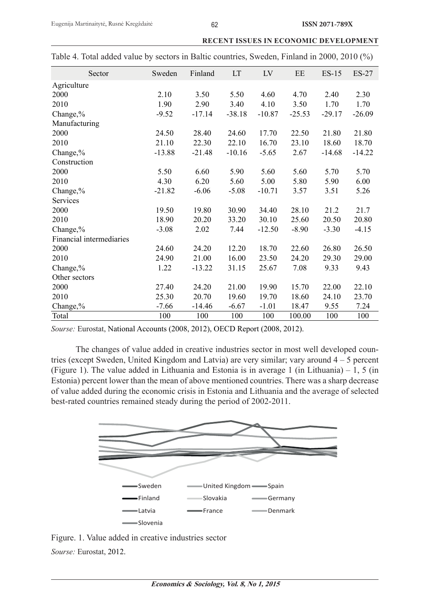| Sweden   | Finland  | <b>LT</b> | LV       | EE       | $ES-15$  | $ES-27$  |
|----------|----------|-----------|----------|----------|----------|----------|
|          |          |           |          |          |          |          |
| 2.10     | 3.50     | 5.50      | 4.60     | 4.70     | 2.40     | 2.30     |
| 1.90     | 2.90     | 3.40      | 4.10     | 3.50     | 1.70     | 1.70     |
| $-9.52$  | $-17.14$ | $-38.18$  | $-10.87$ | $-25.53$ | $-29.17$ | $-26.09$ |
|          |          |           |          |          |          |          |
| 24.50    | 28.40    | 24.60     | 17.70    | 22.50    | 21.80    | 21.80    |
| 21.10    | 22.30    | 22.10     | 16.70    | 23.10    | 18.60    | 18.70    |
| $-13.88$ | $-21.48$ | $-10.16$  | $-5.65$  | 2.67     | $-14.68$ | $-14.22$ |
|          |          |           |          |          |          |          |
| 5.50     | 6.60     | 5.90      | 5.60     | 5.60     | 5.70     | 5.70     |
| 4.30     | 6.20     | 5.60      | 5.00     | 5.80     | 5.90     | 6.00     |
| $-21.82$ | $-6.06$  | $-5.08$   | $-10.71$ | 3.57     | 3.51     | 5.26     |
|          |          |           |          |          |          |          |
| 19.50    | 19.80    | 30.90     | 34.40    | 28.10    | 21.2     | 21.7     |
| 18.90    | 20.20    | 33.20     | 30.10    | 25.60    | 20.50    | 20.80    |
| $-3.08$  | 2.02     | 7.44      | $-12.50$ | $-8.90$  | $-3.30$  | $-4.15$  |
|          |          |           |          |          |          |          |
| 24.60    | 24.20    | 12.20     | 18.70    | 22.60    | 26.80    | 26.50    |
| 24.90    | 21.00    | 16.00     | 23.50    | 24.20    | 29.30    | 29.00    |
| 1.22     | $-13.22$ | 31.15     | 25.67    | 7.08     | 9.33     | 9.43     |
|          |          |           |          |          |          |          |
| 27.40    | 24.20    | 21.00     | 19.90    | 15.70    | 22.00    | 22.10    |
| 25.30    | 20.70    | 19.60     | 19.70    | 18.60    | 24.10    | 23.70    |
| $-7.66$  | $-14.46$ | $-6.67$   | $-1.01$  | 18.47    | 9.55     | 7.24     |
| 100      | 100      | 100       | 100      | 100.00   | 100      | 100      |
|          |          |           |          |          |          |          |

|  |  |  | Table 4. Total added value by sectors in Baltic countries, Sweden, Finland in 2000, 2010 (%) |  |  |  |
|--|--|--|----------------------------------------------------------------------------------------------|--|--|--|
|  |  |  |                                                                                              |  |  |  |

*Sourse:* Eurostat, National Accounts (2008, 2012), OECD Report (2008, 2012).

The changes of value added in creative industries sector in most well developed countries (except Sweden, United Kingdom and Latvia) are very similar; vary around 4 – 5 percent (Figure 1). The value added in Lithuania and Estonia is in average 1 (in Lithuania) – 1, 5 (in Estonia) percent lower than the mean of above mentioned countries. There was a sharp decrease of value added during the economic crisis in Estonia and Lithuania and the average of selected best-rated countries remained steady during the period of 2002-2011.



Figure. 1. Value added in creative industries sector *Sourse:* Eurostat, 2012.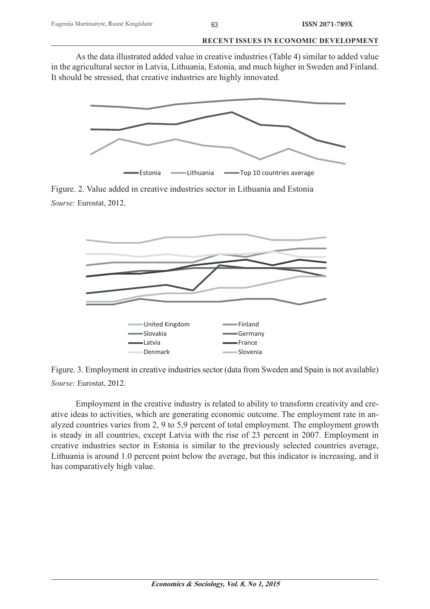As the data illustrated added value in creative industries (Table 4) similar to added value in the agricultural sector in Latvia, Lithuania, Estonia, and much higher in Sweden and Finland. It should be stressed, that creative industries are highly innovated.



Figure. 2. Value added in creative industries sector in Lithuania and Estonia *Sourse:* Eurostat, 2012.



Figure. 3. Employment in creative industries sector (data from Sweden and Spain is not available) *Sourse:* Eurostat, 2012.

Employment in the creative industry is related to ability to transform creativity and creative ideas to activities, which are generating economic outcome. The employment rate in analyzed countries varies from 2, 9 to 5,9 percent of total employment. The employment growth is steady in all countries, except Latvia with the rise of 23 percent in 2007. Employment in creative industries sector in Estonia is similar to the previously selected countries average, Lithuania is around 1.0 percent point below the average, but this indicator is increasing, and it has comparatively high value.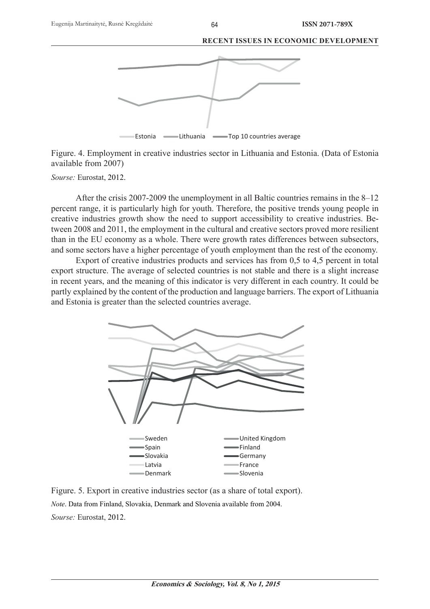

Figure. 4. Employment in creative industries sector in Lithuania and Estonia. (Data of Estonia available from 2007)

*Sourse:* Eurostat, 2012.

After the crisis 2007-2009 the unemployment in all Baltic countries remains in the 8–12 percent range, it is particularly high for youth. Therefore, the positive trends young people in creative industries growth show the need to support accessibility to creative industries. Between 2008 and 2011, the employment in the cultural and creative sectors proved more resilient than in the EU economy as a whole. There were growth rates differences between subsectors, and some sectors have a higher percentage of youth employment than the rest of the economy.

Export of creative industries products and services has from 0,5 to 4,5 percent in total export structure. The average of selected countries is not stable and there is a slight increase in recent years, and the meaning of this indicator is very different in each country. It could be partly explained by the content of the production and language barriers. The export of Lithuania and Estonia is greater than the selected countries average.



Figure. 5. Export in creative industries sector (as a share of total export). *Note*. Data from Finland, Slovakia, Denmark and Slovenia available from 2004. *Sourse:* Eurostat, 2012.

#### **RECENT ISSUES IN ECONOMIC DEVELOPMENT**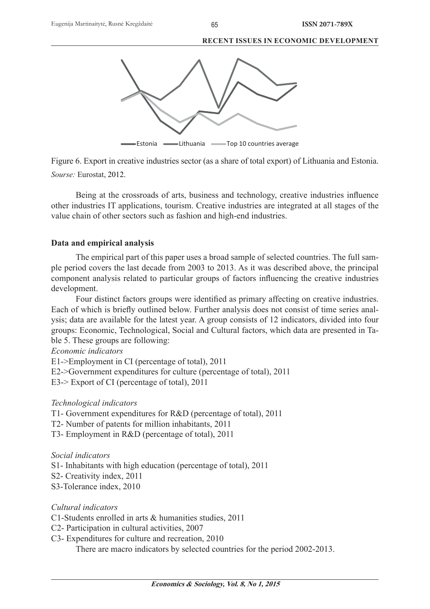

Figure 6. Export in creative industries sector (as a share of total export) of Lithuania and Estonia. *Sourse:* Eurostat, 2012.

Being at the crossroads of arts, business and technology, creative industries influence other industries IT applications, tourism. Creative industries are integrated at all stages of the value chain of other sectors such as fashion and high-end industries.

# **Data and empirical analysis**

The empirical part of this paper uses a broad sample of selected countries. The full sample period covers the last decade from 2003 to 2013. As it was described above, the principal component analysis related to particular groups of factors influencing the creative industries development.

Four distinct factors groups were identified as primary affecting on creative industries. Each of which is briefly outlined below. Further analysis does not consist of time series analysis; data are available for the latest year. A group consists of 12 indicators, divided into four groups: Economic, Technological, Social and Cultural factors, which data are presented in Table 5. These groups are following:

# *Economic indicators*

E1->Employment in CI (percentage of total), 2011 E2->Government expenditures for culture (percentage of total), 2011 E3-> Export of CI (percentage of total), 2011

# *Technological indicators*

T1- Government expenditures for R&D (percentage of total), 2011

T2- Number of patents for million inhabitants, 2011

T3- Employment in R&D (percentage of total), 2011

# *Social indicators*

S1- Inhabitants with high education (percentage of total), 2011

S2- Creativity index, 2011

S3-Tolerance index, 2010

*Cultural indicators*

C1-Students enrolled in arts & humanities studies, 2011

C2- Participation in cultural activities, 2007

C3- Expenditures for culture and recreation, 2010

There are macro indicators by selected countries for the period 2002-2013.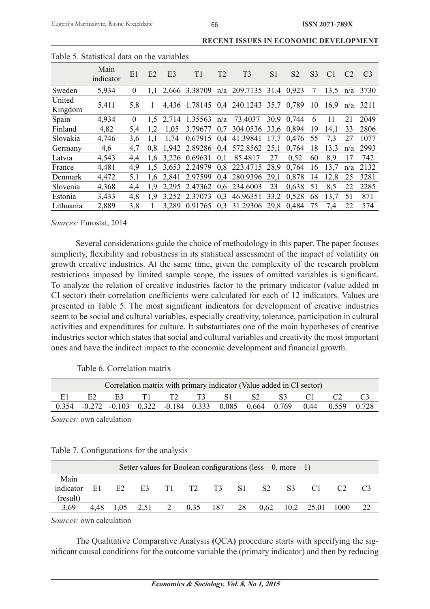| Table 9. Bialistical data uli the variables |                   |          |               |                |               |                |                                       |                |                |                |                |                |                |
|---------------------------------------------|-------------------|----------|---------------|----------------|---------------|----------------|---------------------------------------|----------------|----------------|----------------|----------------|----------------|----------------|
|                                             | Main<br>indicator | E1       | E2            | E <sub>3</sub> | T1            | T <sub>2</sub> | T <sub>3</sub>                        | S <sub>1</sub> | S <sub>2</sub> | S <sub>3</sub> | C <sub>1</sub> | C <sub>2</sub> | C <sub>3</sub> |
| Sweden                                      | 5,934             | $\theta$ | 1.1           |                | 2,666 3.38709 |                | $n/a$ 209.7135 31,4 0,923             |                |                | 7              | 13.5           | n/a            | 3730           |
| United<br>Kingdom                           | 5,411             | 5.8      | 1             |                |               |                | 4,436 1.78145 0,4 240.1243 35,7 0,789 |                |                | 10             | 16.9           | n/a            | 3211           |
| Spain                                       | 4,934             | $\theta$ |               | 1,5 2,714      | 1.35563       | n/a            | 73.4037                               | 30.9           | 0.744          | 6              | 11             | 21             | 2049           |
| Finland                                     | 4,82              | 5,4      | 1,2           | 1,05           | 3.79677       | 0.7            | 304.0536 33,6                         |                | 0.894          | 19             | 14,1           | 33             | 2806           |
| Slovakia                                    | 4,746             | 3,6      |               | 1,74           |               |                | 0.67915 0.4 41.39841                  | 17.7           | 0.476          | 55             | 7,3            | 27             | 1077           |
| Germany                                     | 4,6               | 4,7      | 0.8           | 1,942          |               |                | 2.89286 0.4 572.8562                  | 25,1           | 0.764          | 18             | 13.3           | n/a            | 2993           |
| Latvia                                      | 4,543             | 4,4      | 1.6           |                | 3,226 0.69631 | 0,1            | 85.4817                               | 27             | 0.52           | 60             | 8,9            | 17             | 742            |
| France                                      | 4,481             | 4,9      | $1.5^{\circ}$ | 3.653          | 2.24979       |                | 0,8 223.4715                          | 28.9           | 0.764          | 16             | 13.7           | n/a            | 2132           |
| Denmark                                     | 4,472             | 5,1      | 1.6           | 2,841          | 2.97599       |                | 0.4 280.9396                          | 29,1           | 0.878          | 14             | 12,8           | 25             | 3281           |
| Slovenia                                    | 4,368             | 4,4      | 1.9           | 2,295          | 2.47362       |                | 0.6 234.6003                          | 23             | 0.638          | 51             | 8,5            | 22             | 2285           |
| Estonia                                     | 3,433             | 4,8      | 1.9           | 3,252          | 2.37073       | 0.3            | 46.96351                              | 33,2           | 0.528          | 68             | 13.7           | 51             | 871            |
| Lithuania                                   | 2,889             | 3,8      |               | 3.289          |               |                | 0.91765 0.3 31.29306 29.8             |                | 0,484          | 75             | 7.4            | 22             | 574            |

| Table 5. Statistical data on the variables |  |  |
|--------------------------------------------|--|--|

*Sources:* Eurostat, 2014

Several considerations guide the choice of methodology in this paper. The paper focuses simplicity, flexibility and robustness in its statistical assessment of the impact of volatility on growth creative industries. At the same time, given the complexity of the research problem restrictions imposed by limited sample scope, the issues of omitted variables is significant. To analyze the relation of creative industries factor to the primary indicator (value added in CI sector) their correlation coefficients were calculated for each of 12 indicators. Values are presented in Table 5. The most significant indicators for development of creative industries seem to be social and cultural variables, especially creativity, tolerance, participation in cultural activities and expenditures for culture. It substantiates one of the main hypotheses of creative industries sector which states that social and cultural variables and creativity the most important ones and have the indirect impact to the economic development and financial growth.

Table 6. Correlation matrix

|    |  | Correlation matrix with primary indicator (Value added in CI sector)      |  |  |  |  |
|----|--|---------------------------------------------------------------------------|--|--|--|--|
| E2 |  | E3 T1 T2 T3 S1 S2 S3 C1 C2                                                |  |  |  |  |
|    |  | 0.354 -0.272 -0.103 0.322 -0.184 0.333 0.085 0.664 0.769 0.44 0.559 0.728 |  |  |  |  |

*Sources:* own calculation

| Table 7. Configurations for the analysis |  |
|------------------------------------------|--|
|------------------------------------------|--|

| Setter values for Boolean configurations (less $-0$ , more $-1$ ) |      |      |                |   |       |     |     |                |      |       |      |    |
|-------------------------------------------------------------------|------|------|----------------|---|-------|-----|-----|----------------|------|-------|------|----|
| Main                                                              |      |      |                |   |       |     |     |                |      |       |      |    |
| indicator                                                         | E1   | E2   | E <sub>3</sub> |   | T1 T2 | T3  | -S1 | S <sub>2</sub> | S3.  |       |      |    |
| (result)                                                          |      |      |                |   |       |     |     |                |      |       |      |    |
| 3,69                                                              | 4.48 | 1,05 | 2,51           | 2 | 0.35  | 187 | 28  | 0.62           | 10.2 | 25.01 | 1000 | 22 |

*Sources:* own calculation

The Qualitative Comparative Analysis **(**QCA**)** procedure starts with specifying the significant causal conditions for the outcome variable the (primary indicator) and then by reducing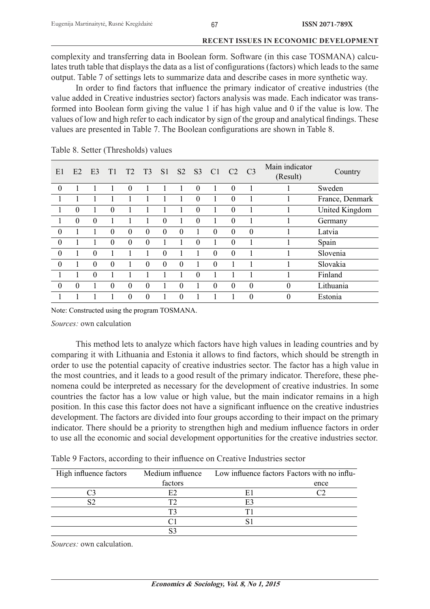complexity and transferring data in Boolean form. Software (in this case TOSMANA) calculates truth table that displays the data as a list of configurations (factors) which leads to the same output. Table 7 of settings lets to summarize data and describe cases in more synthetic way.

In order to find factors that influence the primary indicator of creative industries (the value added in Creative industries sector) factors analysis was made. Each indicator was transformed into Boolean form giving the value 1 if has high value and 0 if the value is low. The values of low and high refer to each indicator by sign of the group and analytical findings. These values are presented in Table 7. The Boolean configurations are shown in Table 8.

| E1               | E2             | E3       | T1       | T <sub>2</sub> | T <sub>3</sub> | S <sub>1</sub> |          |          | S2 S3 C1 C2 |                | $\overline{C}$ 3 | Main indicator<br>(Result) | Country               |
|------------------|----------------|----------|----------|----------------|----------------|----------------|----------|----------|-------------|----------------|------------------|----------------------------|-----------------------|
| $\theta$         |                |          |          | $\overline{0}$ |                |                |          | $\theta$ |             | $\overline{0}$ |                  |                            | Sweden                |
|                  |                |          |          |                |                |                |          | $\theta$ |             | $\theta$       |                  |                            | France, Denmark       |
|                  | $\theta$       |          | $\theta$ |                |                |                |          | $\theta$ |             | $\theta$       |                  |                            | <b>United Kingdom</b> |
|                  | $\theta$       | $\theta$ |          |                |                | $\theta$       |          | $\theta$ |             | $\theta$       |                  |                            | Germany               |
| $\boldsymbol{0}$ |                |          | 0        | $\mathbf{0}$   | $\mathbf{0}$   | $\theta$       | $\theta$ |          | $\theta$    | $\theta$       | $\boldsymbol{0}$ |                            | Latvia                |
| $\boldsymbol{0}$ |                |          | 0        | 0              | $\theta$       |                |          | $\theta$ |             | $\theta$       |                  |                            | Spain                 |
| $\boldsymbol{0}$ |                | 0        |          |                |                | $\theta$       |          |          | $\theta$    | $\theta$       |                  | 1                          | Slovenia              |
| $\overline{0}$   |                | $\Omega$ | $\theta$ |                | $\Omega$       | $\mathbf{0}$   | $\theta$ | 1        | $\theta$    | 1              | -1               | 1                          | Slovakia              |
|                  |                | 0        |          |                |                |                |          | $\theta$ |             |                |                  |                            | Finland               |
| $\overline{0}$   | $\overline{0}$ |          | 0        | 0              | $\theta$       |                | $\theta$ |          | $\theta$    | $\theta$       | $\theta$         | $\overline{0}$             | Lithuania             |
|                  |                |          |          | 0              | $\theta$       |                | $\theta$ |          |             |                | $\theta$         | 0                          | Estonia               |

Table 8. Setter (Thresholds) values

Note: Constructed using the program TOSMANA.

*Sources:* own calculation

This method lets to analyze which factors have high values in leading countries and by comparing it with Lithuania and Estonia it allows to find factors, which should be strength in order to use the potential capacity of creative industries sector. The factor has a high value in the most countries, and it leads to a good result of the primary indicator. Therefore, these phenomena could be interpreted as necessary for the development of creative industries. In some countries the factor has a low value or high value, but the main indicator remains in a high position. In this case this factor does not have a significant influence on the creative industries development. The factors are divided into four groups according to their impact on the primary indicator. There should be a priority to strengthen high and medium influence factors in order to use all the economic and social development opportunities for the creative industries sector.

|  |  |  | Table 9 Factors, according to their influence on Creative Industries sector |
|--|--|--|-----------------------------------------------------------------------------|
|  |  |  |                                                                             |

| High influence factors |         | Medium influence Low influence factors Factors with no influ- |      |  |
|------------------------|---------|---------------------------------------------------------------|------|--|
|                        | factors |                                                               | ence |  |
|                        | E2      | E1                                                            |      |  |
|                        |         | E3                                                            |      |  |
|                        |         |                                                               |      |  |
|                        |         |                                                               |      |  |
|                        |         |                                                               |      |  |

*Sources:* own calculation.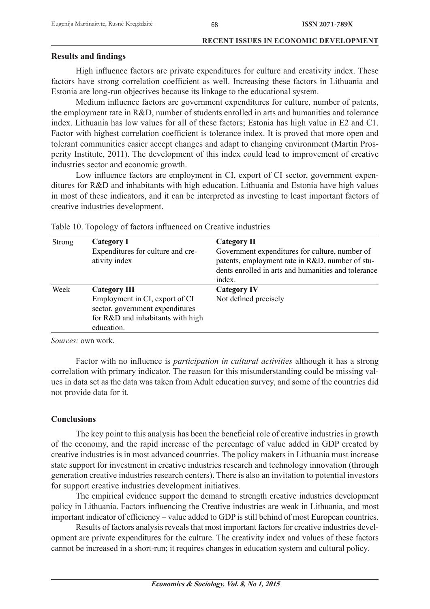## **Results and findings**

High influence factors are private expenditures for culture and creativity index. These factors have strong correlation coefficient as well. Increasing these factors in Lithuania and Estonia are long-run objectives because its linkage to the educational system.

Medium influence factors are government expenditures for culture, number of patents, the employment rate in R&D, number of students enrolled in arts and humanities and tolerance index. Lithuania has low values for all of these factors; Estonia has high value in E2 and C1. Factor with highest correlation coefficient is tolerance index. It is proved that more open and tolerant communities easier accept changes and adapt to changing environment (Martin Prosperity Institute, 2011). The development of this index could lead to improvement of creative industries sector and economic growth.

Low influence factors are employment in CI, export of CI sector, government expenditures for R&D and inhabitants with high education. Lithuania and Estonia have high values in most of these indicators, and it can be interpreted as investing to least important factors of creative industries development.

| <b>Strong</b> | Category I<br>Expenditures for culture and cre-<br>ativity index                                                                            | <b>Category II</b><br>Government expenditures for culture, number of<br>patents, employment rate in R&D, number of stu-<br>dents enrolled in arts and humanities and tolerance<br>index. |
|---------------|---------------------------------------------------------------------------------------------------------------------------------------------|------------------------------------------------------------------------------------------------------------------------------------------------------------------------------------------|
| Week          | <b>Category III</b><br>Employment in CI, export of CI<br>sector, government expenditures<br>for R&D and inhabitants with high<br>education. | <b>Category IV</b><br>Not defined precisely                                                                                                                                              |

Table 10. Topology of factors influenced on Creative industries

*Sources:* own work.

Factor with no influence is *participation in cultural activities* although it has a strong correlation with primary indicator. The reason for this misunderstanding could be missing values in data set as the data was taken from Adult education survey, and some of the countries did not provide data for it.

# **Conclusions**

The key point to this analysis has been the beneficial role of creative industries in growth of the economy, and the rapid increase of the percentage of value added in GDP created by creative industries is in most advanced countries. The policy makers in Lithuania must increase state support for investment in creative industries research and technology innovation (through generation creative industries research centers). There is also an invitation to potential investors for support creative industries development initiatives.

The empirical evidence support the demand to strength creative industries development policy in Lithuania. Factors influencing the Creative industries are weak in Lithuania, and most important indicator of efficiency – value added to GDP is still behind of most European countries.

Results of factors analysis reveals that most important factors for creative industries development are private expenditures for the culture. The creativity index and values of these factors cannot be increased in a short-run; it requires changes in education system and cultural policy.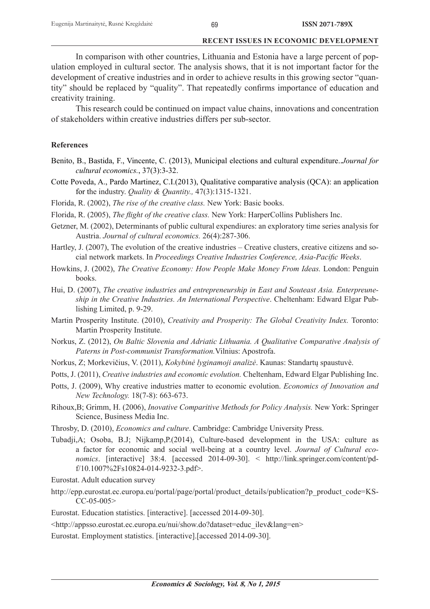In comparison with other countries, Lithuania and Estonia have a large percent of population employed in cultural sector. The analysis shows, that it is not important factor for the development of creative industries and in order to achieve results in this growing sector "quantity" should be replaced by "quality". That repeatedly confirms importance of education and creativity training.

This research could be continued on impact value chains, innovations and concentration of stakeholders within creative industries differs per sub-sector.

#### **References**

- Benito, B., Bastida, F., Vincente, C. (2013), Municipal elections and cultural expenditure..*Journal for cultural economics.*, 37(3):3-32.
- Cotte Poveda, A., Pardo Martinez, C.I.(2013), Qualitative comparative analysis (QCA): an application for the industry. *Quality & Quantity.,* 47(3):1315-1321.
- Florida, R. (2002), *The rise of the creative class.* New York: Basic books.
- Florida, R. (2005), *The flight of the creative class*. New York: HarperCollins Publishers Inc.
- Getzner, M. (2002), Determinants of public cultural expendiures: an exploratory time series analysis for Austria. *Journal of cultural economics.* 26(4):287-306.
- Hartley, J. (2007), The evolution of the creative industries Creative clusters, creative citizens and social network markets. In *Proceedings Creative Industries Conference, Asia-Pacific Weeks.*
- Howkins, J. (2002), *The Creative Economy: How People Make Money From Ideas.* London: Penguin books.
- Hui, D. (2007), *The creative industries and entrepreneurship in East and Souteast Asia. Enterpreuneship in the Creative Industries. An International Perspective*. Cheltenham: Edward Elgar Publishing Limited, p. 9-29.
- Martin Prosperity Institute. (2010), *Creativity and Prosperity: The Global Creativity Index.* Toronto: Martin Prosperity Institute.
- Norkus, Z. (2012), *On Baltic Slovenia and Adriatic Lithuania. A Qualitative Comparative Analysis of Paterns in Post-communist Transformation.*Vilnius: Apostrofa.
- Norkus, Z; Morkevičius, V. (2011), *Kokybinė lyginamoji analizė*. Kaunas: Standartų spaustuvė.
- Potts, J. (2011), *Creative industries and economic evolution.* Cheltenham, Edward Elgar Publishing Inc.
- Potts, J. (2009), Why creative industries matter to economic evolution. *Economics of Innovation and New Technology.* 18(7-8): 663-673.
- Rihoux,B; Grimm, H. (2006), *Inovative Comparitive Methods for Policy Analysis.* New York: Springer Science, Business Media Inc.
- Throsby, D. (2010), *Economics and culture*. Cambridge: Cambridge University Press.
- Tubadji,A; Osoba, B.J; Nijkamp,P.(2014), Culture-based development in the USA: culture as a factor for economic and social well-being at a country level. *Journal of Cultural economics*. [interactive] 38:4. [accessed 2014-09-30]. < http://link.springer.com/content/pdf/10.1007%2Fs10824-014-9232-3.pdf>.
- Eurostat. Adult education survey
- http://epp.eurostat.ec.europa.eu/portal/page/portal/product\_details/publication?p\_product\_code=KS- $CC-05-005$

Eurostat. Education statistics. [interactive]. [accessed 2014-09-30].

<http://appsso.eurostat.ec.europa.eu/nui/show.do?dataset=educ\_ilev&lang=en>

Eurostat. Employment statistics. [interactive].[accessed 2014-09-30].

69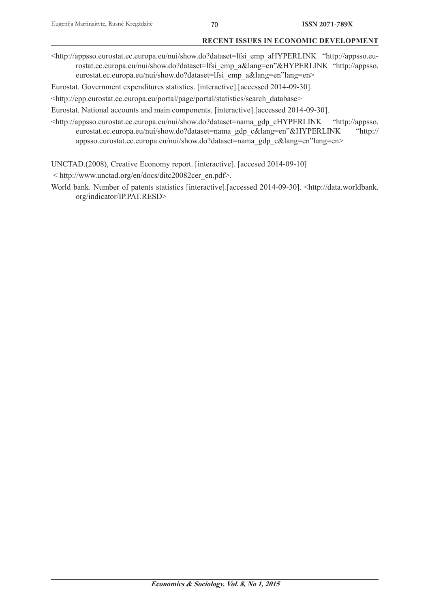<http://appsso.eurostat.ec.europa.eu/nui/show.do?dataset=lfsi\_emp\_aHYPERLINK "http://appsso.eurostat.ec.europa.eu/nui/show.do?dataset=lfsi\_emp\_a&lang=en"&HYPERLINK "http://appsso. eurostat.ec.europa.eu/nui/show.do?dataset=lfsi\_emp\_a&lang=en"lang=en>

Eurostat. Government expenditures statistics. [interactive].[accessed 2014-09-30].

<http://epp.eurostat.ec.europa.eu/portal/page/portal/statistics/search\_database>

Eurostat. National accounts and main components. [interactive].[accessed 2014-09-30].

<http://appsso.eurostat.ec.europa.eu/nui/show.do?dataset=nama\_gdp\_cHYPERLINK "http://appsso. eurostat.ec.europa.eu/nui/show.do?dataset=nama\_gdp\_c&lang=en"&HYPERLINK "http:// appsso.eurostat.ec.europa.eu/nui/show.do?dataset=nama\_gdp\_c&lang=en"lang=en>

UNCTAD.(2008), Creative Economy report. [interactive]. [accesed 2014-09-10]

< http://www.unctad.org/en/docs/ditc20082cer\_en.pdf>.

World bank. Number of patents statistics [interactive].[accessed 2014-09-30]. <http://data.worldbank. org/indicator/IP.PAT.RESD>